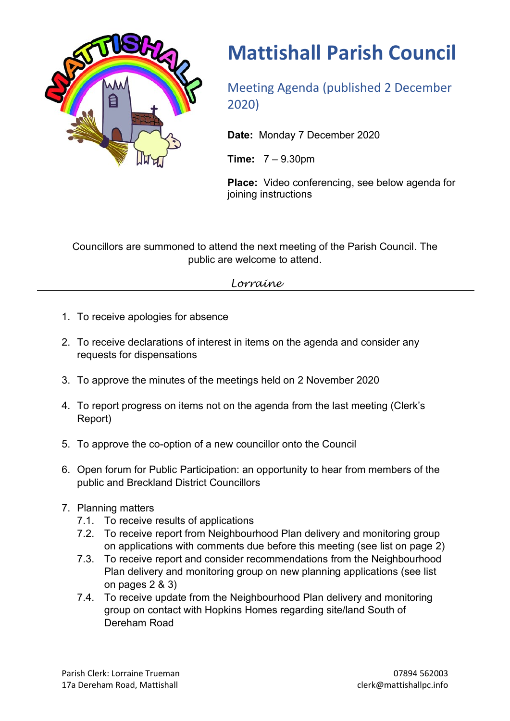

# **Mattishall Parish Council**

Meeting Agenda (published 2 December 2020)

**Date:** Monday 7 December 2020

**Time:** 7 – 9.30pm

**Place:** Video conferencing, see below agenda for joining instructions

Councillors are summoned to attend the next meeting of the Parish Council. The public are welcome to attend.

## *Lorraine*

- 1. To receive apologies for absence
- 2. To receive declarations of interest in items on the agenda and consider any requests for dispensations
- 3. To approve the minutes of the meetings held on 2 November 2020
- 4. To report progress on items not on the agenda from the last meeting (Clerk's Report)
- 5. To approve the co-option of a new councillor onto the Council
- 6. Open forum for Public Participation: an opportunity to hear from members of the public and Breckland District Councillors
- 7. Planning matters
	- 7.1. To receive results of applications
	- 7.2. To receive report from Neighbourhood Plan delivery and monitoring group on applications with comments due before this meeting (see list on page 2)
	- 7.3. To receive report and consider recommendations from the Neighbourhood Plan delivery and monitoring group on new planning applications (see list on pages 2 & 3)
	- 7.4. To receive update from the Neighbourhood Plan delivery and monitoring group on contact with Hopkins Homes regarding site/land South of Dereham Road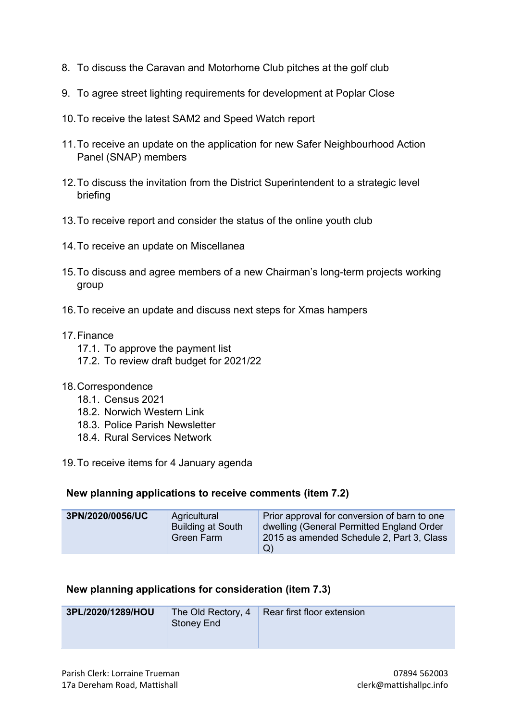- 8. To discuss the Caravan and Motorhome Club pitches at the golf club
- 9. To agree street lighting requirements for development at Poplar Close
- 10.To receive the latest SAM2 and Speed Watch report
- 11.To receive an update on the application for new Safer Neighbourhood Action Panel (SNAP) members
- 12.To discuss the invitation from the District Superintendent to a strategic level briefing
- 13.To receive report and consider the status of the online youth club
- 14.To receive an update on Miscellanea
- 15.To discuss and agree members of a new Chairman's long-term projects working group
- 16.To receive an update and discuss next steps for Xmas hampers

#### 17.Finance

- 17.1. To approve the payment list
- 17.2. To review draft budget for 2021/22

#### 18.Correspondence

- 18.1. Census 2021
- 18.2. Norwich Western Link
- 18.3. Police Parish Newsletter
- 18.4. Rural Services Network

19.To receive items for 4 January agenda

#### **New planning applications to receive comments (item 7.2)**

| 3PN/2020/0056/UC | Agricultural<br><b>Building at South</b><br><b>Green Farm</b> | Prior approval for conversion of barn to one<br>dwelling (General Permitted England Order<br>2015 as amended Schedule 2, Part 3, Class |
|------------------|---------------------------------------------------------------|----------------------------------------------------------------------------------------------------------------------------------------|
|                  |                                                               | Q)                                                                                                                                     |

#### **New planning applications for consideration (item 7.3)**

| 3PL/2020/1289/HOU | Stoney End | The Old Rectory, $4 \mid$ Rear first floor extension |
|-------------------|------------|------------------------------------------------------|
|                   |            |                                                      |